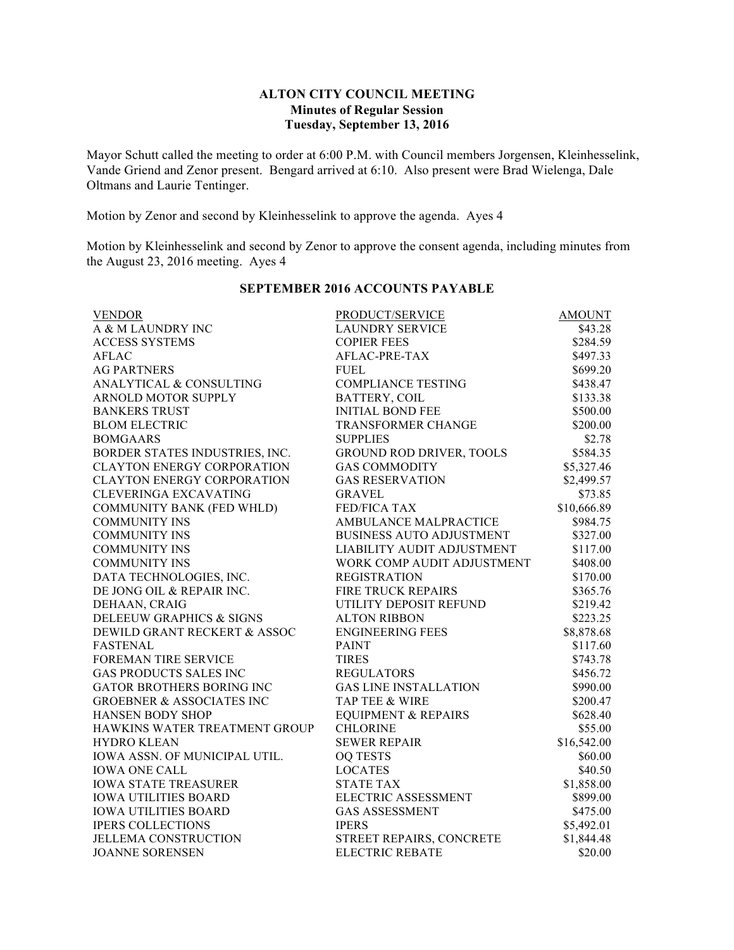# **ALTON CITY COUNCIL MEETING Minutes of Regular Session Tuesday, September 13, 2016**

Mayor Schutt called the meeting to order at 6:00 P.M. with Council members Jorgensen, Kleinhesselink, Vande Griend and Zenor present. Bengard arrived at 6:10. Also present were Brad Wielenga, Dale Oltmans and Laurie Tentinger.

Motion by Zenor and second by Kleinhesselink to approve the agenda. Ayes 4

Motion by Kleinhesselink and second by Zenor to approve the consent agenda, including minutes from the August 23, 2016 meeting. Ayes 4

| <b>VENDOR</b>                        | PRODUCT/SERVICE                 | <b>AMOUNT</b> |
|--------------------------------------|---------------------------------|---------------|
| A & M LAUNDRY INC                    | <b>LAUNDRY SERVICE</b>          | \$43.28       |
| <b>ACCESS SYSTEMS</b>                | <b>COPIER FEES</b>              | \$284.59      |
| <b>AFLAC</b>                         | AFLAC-PRE-TAX                   | \$497.33      |
| <b>AG PARTNERS</b>                   | <b>FUEL</b>                     | \$699.20      |
| ANALYTICAL & CONSULTING              | <b>COMPLIANCE TESTING</b>       | \$438.47      |
| ARNOLD MOTOR SUPPLY                  | BATTERY, COIL                   | \$133.38      |
| <b>BANKERS TRUST</b>                 | <b>INITIAL BOND FEE</b>         | \$500.00      |
| <b>BLOM ELECTRIC</b>                 | TRANSFORMER CHANGE              | \$200.00      |
| <b>BOMGAARS</b>                      | <b>SUPPLIES</b>                 | \$2.78        |
| BORDER STATES INDUSTRIES, INC.       | GROUND ROD DRIVER, TOOLS        | \$584.35      |
| <b>CLAYTON ENERGY CORPORATION</b>    | <b>GAS COMMODITY</b>            | \$5,327.46    |
| <b>CLAYTON ENERGY CORPORATION</b>    | <b>GAS RESERVATION</b>          | \$2,499.57    |
| CLEVERINGA EXCAVATING                | <b>GRAVEL</b>                   | \$73.85       |
| COMMUNITY BANK (FED WHLD)            | <b>FED/FICA TAX</b>             | \$10,666.89   |
| <b>COMMUNITY INS</b>                 | AMBULANCE MALPRACTICE           | \$984.75      |
| <b>COMMUNITY INS</b>                 | <b>BUSINESS AUTO ADJUSTMENT</b> | \$327.00      |
| <b>COMMUNITY INS</b>                 | LIABILITY AUDIT ADJUSTMENT      | \$117.00      |
| <b>COMMUNITY INS</b>                 | WORK COMP AUDIT ADJUSTMENT      | \$408.00      |
| DATA TECHNOLOGIES, INC.              | <b>REGISTRATION</b>             | \$170.00      |
| DE JONG OIL & REPAIR INC.            | <b>FIRE TRUCK REPAIRS</b>       | \$365.76      |
| DEHAAN, CRAIG                        | UTILITY DEPOSIT REFUND          | \$219.42      |
| DELEEUW GRAPHICS & SIGNS             | <b>ALTON RIBBON</b>             | \$223.25      |
| DEWILD GRANT RECKERT & ASSOC         | <b>ENGINEERING FEES</b>         | \$8,878.68    |
| <b>FASTENAL</b>                      | <b>PAINT</b>                    | \$117.60      |
| FOREMAN TIRE SERVICE                 | <b>TIRES</b>                    | \$743.78      |
| <b>GAS PRODUCTS SALES INC</b>        | <b>REGULATORS</b>               | \$456.72      |
| <b>GATOR BROTHERS BORING INC</b>     | <b>GAS LINE INSTALLATION</b>    | \$990.00      |
| <b>GROEBNER &amp; ASSOCIATES INC</b> | <b>TAP TEE &amp; WIRE</b>       | \$200.47      |
| HANSEN BODY SHOP                     | <b>EQUIPMENT &amp; REPAIRS</b>  | \$628.40      |
| HAWKINS WATER TREATMENT GROUP        | <b>CHLORINE</b>                 | \$55.00       |
| <b>HYDRO KLEAN</b>                   | <b>SEWER REPAIR</b>             | \$16,542.00   |
| IOWA ASSN. OF MUNICIPAL UTIL.        | <b>OQ TESTS</b>                 | \$60.00       |
| <b>IOWA ONE CALL</b>                 | <b>LOCATES</b>                  | \$40.50       |
| <b>IOWA STATE TREASURER</b>          | <b>STATE TAX</b>                | \$1,858.00    |
| <b>IOWA UTILITIES BOARD</b>          | ELECTRIC ASSESSMENT             | \$899.00      |
| <b>IOWA UTILITIES BOARD</b>          | <b>GAS ASSESSMENT</b>           | \$475.00      |
| <b>IPERS COLLECTIONS</b>             | <b>IPERS</b>                    | \$5,492.01    |
| <b>JELLEMA CONSTRUCTION</b>          | STREET REPAIRS, CONCRETE        | \$1,844.48    |
| <b>JOANNE SORENSEN</b>               | <b>ELECTRIC REBATE</b>          | \$20.00       |

### **SEPTEMBER 2016 ACCOUNTS PAYABLE**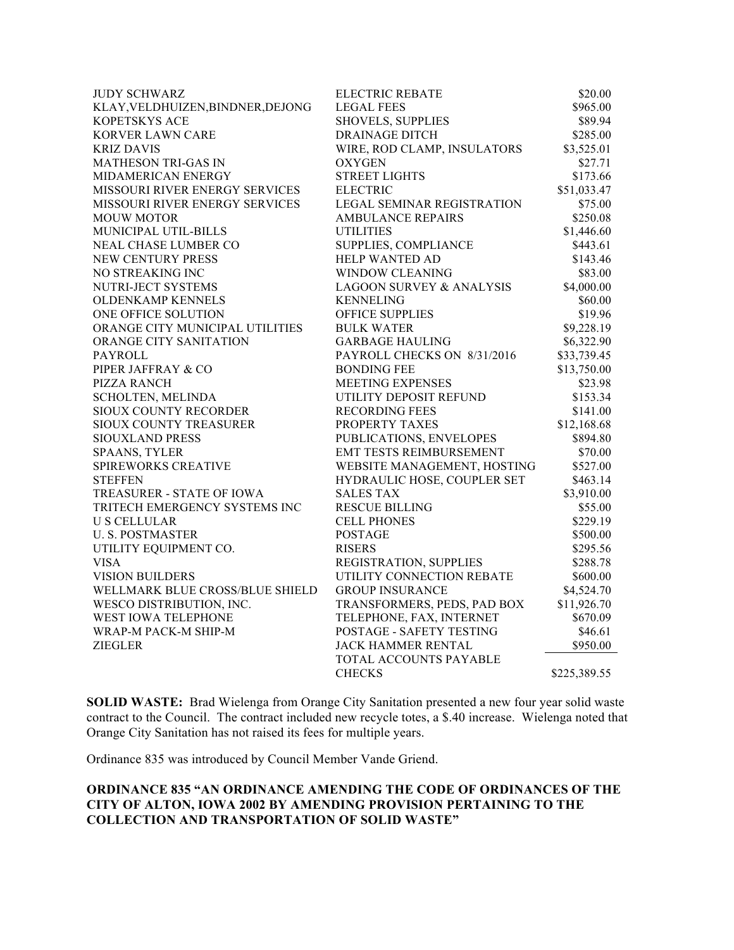| <b>JUDY SCHWARZ</b>               | <b>ELECTRIC REBATE</b>              | \$20.00      |
|-----------------------------------|-------------------------------------|--------------|
| KLAY, VELDHUIZEN, BINDNER, DEJONG | <b>LEGAL FEES</b>                   | \$965.00     |
| <b>KOPETSKYS ACE</b>              | <b>SHOVELS, SUPPLIES</b>            | \$89.94      |
| KORVER LAWN CARE                  | <b>DRAINAGE DITCH</b>               | \$285.00     |
| <b>KRIZ DAVIS</b>                 | WIRE, ROD CLAMP, INSULATORS         | \$3,525.01   |
| <b>MATHESON TRI-GAS IN</b>        | <b>OXYGEN</b>                       | \$27.71      |
| MIDAMERICAN ENERGY                | <b>STREET LIGHTS</b>                | \$173.66     |
| MISSOURI RIVER ENERGY SERVICES    | <b>ELECTRIC</b>                     | \$51,033.47  |
| MISSOURI RIVER ENERGY SERVICES    | <b>LEGAL SEMINAR REGISTRATION</b>   | \$75.00      |
| <b>MOUW MOTOR</b>                 | <b>AMBULANCE REPAIRS</b>            | \$250.08     |
| MUNICIPAL UTIL-BILLS              | <b>UTILITIES</b>                    | \$1,446.60   |
| NEAL CHASE LUMBER CO              | SUPPLIES, COMPLIANCE                | \$443.61     |
| NEW CENTURY PRESS                 | <b>HELP WANTED AD</b>               | \$143.46     |
| NO STREAKING INC                  | <b>WINDOW CLEANING</b>              | \$83.00      |
| NUTRI-JECT SYSTEMS                | <b>LAGOON SURVEY &amp; ANALYSIS</b> | \$4,000.00   |
| <b>OLDENKAMP KENNELS</b>          | <b>KENNELING</b>                    | \$60.00      |
| ONE OFFICE SOLUTION               | <b>OFFICE SUPPLIES</b>              | \$19.96      |
| ORANGE CITY MUNICIPAL UTILITIES   | <b>BULK WATER</b>                   | \$9,228.19   |
| ORANGE CITY SANITATION            | <b>GARBAGE HAULING</b>              | \$6,322.90   |
| PAYROLL                           | PAYROLL CHECKS ON 8/31/2016         | \$33,739.45  |
| PIPER JAFFRAY & CO                | <b>BONDING FEE</b>                  | \$13,750.00  |
| PIZZA RANCH                       | <b>MEETING EXPENSES</b>             | \$23.98      |
| SCHOLTEN, MELINDA                 | UTILITY DEPOSIT REFUND              | \$153.34     |
| SIOUX COUNTY RECORDER             | <b>RECORDING FEES</b>               | \$141.00     |
| SIOUX COUNTY TREASURER            | PROPERTY TAXES                      | \$12,168.68  |
| SIOUXLAND PRESS                   | PUBLICATIONS, ENVELOPES             | \$894.80     |
| <b>SPAANS, TYLER</b>              | EMT TESTS REIMBURSEMENT             | \$70.00      |
| SPIREWORKS CREATIVE               | WEBSITE MANAGEMENT, HOSTING         | \$527.00     |
| <b>STEFFEN</b>                    | HYDRAULIC HOSE, COUPLER SET         | \$463.14     |
| TREASURER - STATE OF IOWA         | <b>SALES TAX</b>                    | \$3,910.00   |
| TRITECH EMERGENCY SYSTEMS INC     | <b>RESCUE BILLING</b>               | \$55.00      |
| <b>U S CELLULAR</b>               | <b>CELL PHONES</b>                  | \$229.19     |
| <b>U.S. POSTMASTER</b>            | <b>POSTAGE</b>                      | \$500.00     |
| UTILITY EQUIPMENT CO.             | <b>RISERS</b>                       | \$295.56     |
| <b>VISA</b>                       | REGISTRATION, SUPPLIES              | \$288.78     |
| <b>VISION BUILDERS</b>            | UTILITY CONNECTION REBATE           | \$600.00     |
| WELLMARK BLUE CROSS/BLUE SHIELD   | <b>GROUP INSURANCE</b>              | \$4,524.70   |
| WESCO DISTRIBUTION, INC.          | TRANSFORMERS, PEDS, PAD BOX         | \$11,926.70  |
| WEST IOWA TELEPHONE               | TELEPHONE, FAX, INTERNET            | \$670.09     |
| WRAP-M PACK-M SHIP-M              | POSTAGE - SAFETY TESTING            | \$46.61      |
| <b>ZIEGLER</b>                    | JACK HAMMER RENTAL                  | \$950.00     |
|                                   | TOTAL ACCOUNTS PAYABLE              |              |
|                                   | <b>CHECKS</b>                       | \$225,389.55 |

**SOLID WASTE:** Brad Wielenga from Orange City Sanitation presented a new four year solid waste contract to the Council. The contract included new recycle totes, a \$.40 increase. Wielenga noted that Orange City Sanitation has not raised its fees for multiple years.

Ordinance 835 was introduced by Council Member Vande Griend.

### **ORDINANCE 835 "AN ORDINANCE AMENDING THE CODE OF ORDINANCES OF THE CITY OF ALTON, IOWA 2002 BY AMENDING PROVISION PERTAINING TO THE COLLECTION AND TRANSPORTATION OF SOLID WASTE"**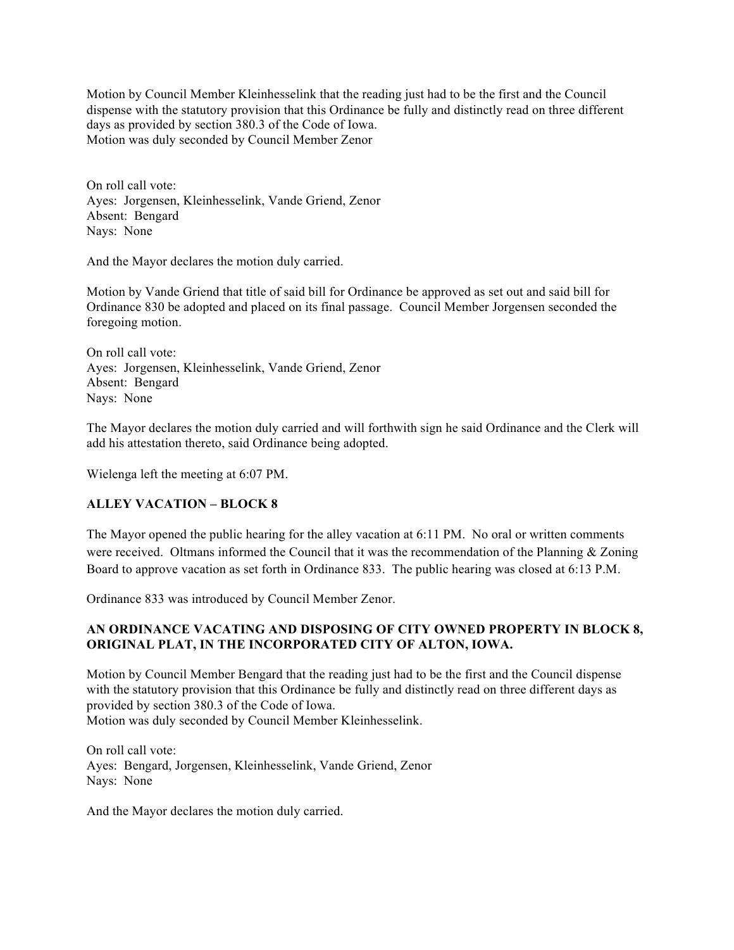Motion by Council Member Kleinhesselink that the reading just had to be the first and the Council dispense with the statutory provision that this Ordinance be fully and distinctly read on three different days as provided by section 380.3 of the Code of Iowa. Motion was duly seconded by Council Member Zenor

On roll call vote: Ayes: Jorgensen, Kleinhesselink, Vande Griend, Zenor Absent: Bengard Nays: None

And the Mayor declares the motion duly carried.

Motion by Vande Griend that title of said bill for Ordinance be approved as set out and said bill for Ordinance 830 be adopted and placed on its final passage. Council Member Jorgensen seconded the foregoing motion.

On roll call vote: Ayes: Jorgensen, Kleinhesselink, Vande Griend, Zenor Absent: Bengard Nays: None

The Mayor declares the motion duly carried and will forthwith sign he said Ordinance and the Clerk will add his attestation thereto, said Ordinance being adopted.

Wielenga left the meeting at 6:07 PM.

# **ALLEY VACATION – BLOCK 8**

The Mayor opened the public hearing for the alley vacation at 6:11 PM. No oral or written comments were received. Oltmans informed the Council that it was the recommendation of the Planning & Zoning Board to approve vacation as set forth in Ordinance 833. The public hearing was closed at 6:13 P.M.

Ordinance 833 was introduced by Council Member Zenor.

# **AN ORDINANCE VACATING AND DISPOSING OF CITY OWNED PROPERTY IN BLOCK 8, ORIGINAL PLAT, IN THE INCORPORATED CITY OF ALTON, IOWA.**

Motion by Council Member Bengard that the reading just had to be the first and the Council dispense with the statutory provision that this Ordinance be fully and distinctly read on three different days as provided by section 380.3 of the Code of Iowa. Motion was duly seconded by Council Member Kleinhesselink.

On roll call vote: Ayes: Bengard, Jorgensen, Kleinhesselink, Vande Griend, Zenor Nays: None

And the Mayor declares the motion duly carried.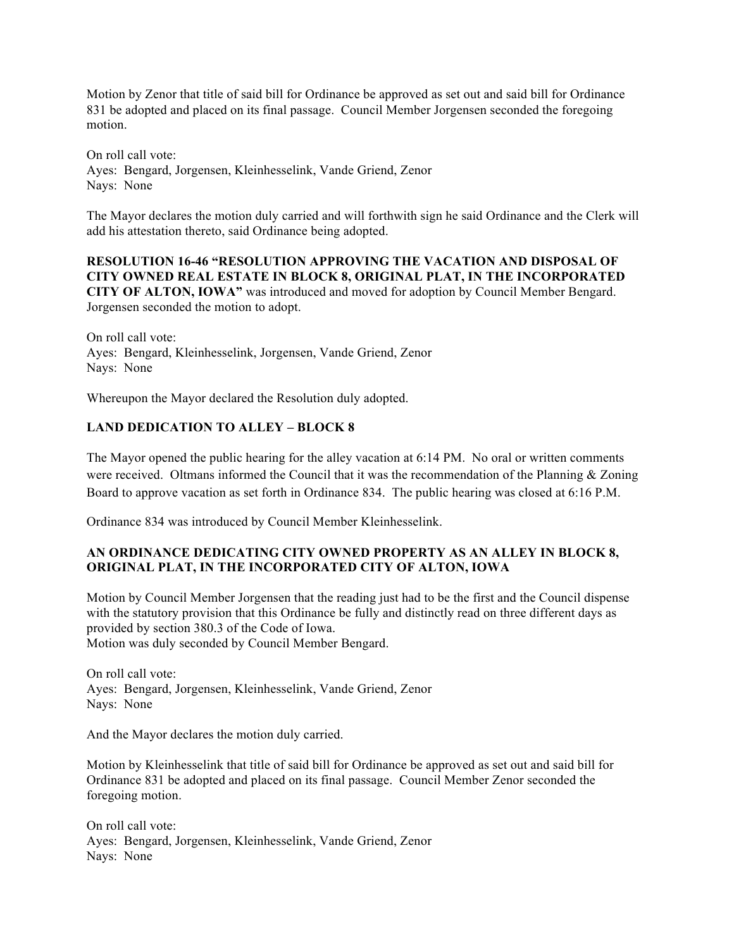Motion by Zenor that title of said bill for Ordinance be approved as set out and said bill for Ordinance 831 be adopted and placed on its final passage. Council Member Jorgensen seconded the foregoing motion.

On roll call vote: Ayes: Bengard, Jorgensen, Kleinhesselink, Vande Griend, Zenor Nays: None

The Mayor declares the motion duly carried and will forthwith sign he said Ordinance and the Clerk will add his attestation thereto, said Ordinance being adopted.

**RESOLUTION 16-46 "RESOLUTION APPROVING THE VACATION AND DISPOSAL OF CITY OWNED REAL ESTATE IN BLOCK 8, ORIGINAL PLAT, IN THE INCORPORATED CITY OF ALTON, IOWA"** was introduced and moved for adoption by Council Member Bengard. Jorgensen seconded the motion to adopt.

On roll call vote: Ayes: Bengard, Kleinhesselink, Jorgensen, Vande Griend, Zenor Nays: None

Whereupon the Mayor declared the Resolution duly adopted.

# **LAND DEDICATION TO ALLEY – BLOCK 8**

The Mayor opened the public hearing for the alley vacation at 6:14 PM. No oral or written comments were received. Oltmans informed the Council that it was the recommendation of the Planning & Zoning Board to approve vacation as set forth in Ordinance 834. The public hearing was closed at 6:16 P.M.

Ordinance 834 was introduced by Council Member Kleinhesselink.

# **AN ORDINANCE DEDICATING CITY OWNED PROPERTY AS AN ALLEY IN BLOCK 8, ORIGINAL PLAT, IN THE INCORPORATED CITY OF ALTON, IOWA**

Motion by Council Member Jorgensen that the reading just had to be the first and the Council dispense with the statutory provision that this Ordinance be fully and distinctly read on three different days as provided by section 380.3 of the Code of Iowa. Motion was duly seconded by Council Member Bengard.

On roll call vote: Ayes: Bengard, Jorgensen, Kleinhesselink, Vande Griend, Zenor Nays: None

And the Mayor declares the motion duly carried.

Motion by Kleinhesselink that title of said bill for Ordinance be approved as set out and said bill for Ordinance 831 be adopted and placed on its final passage. Council Member Zenor seconded the foregoing motion.

On roll call vote: Ayes: Bengard, Jorgensen, Kleinhesselink, Vande Griend, Zenor Nays: None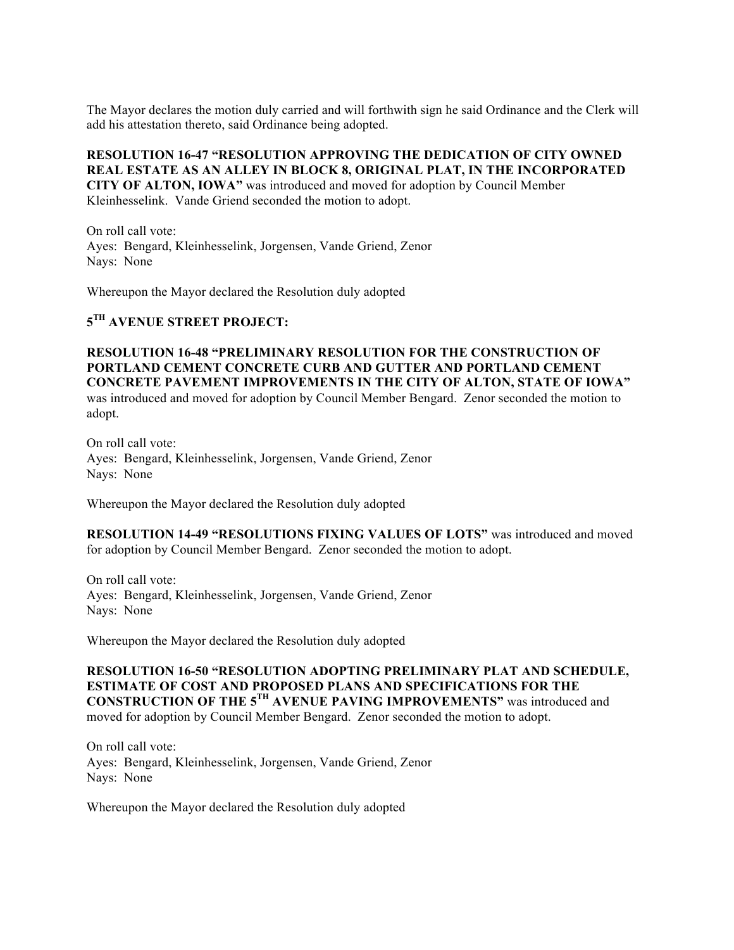The Mayor declares the motion duly carried and will forthwith sign he said Ordinance and the Clerk will add his attestation thereto, said Ordinance being adopted.

**RESOLUTION 16-47 "RESOLUTION APPROVING THE DEDICATION OF CITY OWNED REAL ESTATE AS AN ALLEY IN BLOCK 8, ORIGINAL PLAT, IN THE INCORPORATED CITY OF ALTON, IOWA"** was introduced and moved for adoption by Council Member Kleinhesselink. Vande Griend seconded the motion to adopt.

On roll call vote: Ayes: Bengard, Kleinhesselink, Jorgensen, Vande Griend, Zenor Nays: None

Whereupon the Mayor declared the Resolution duly adopted

**5TH AVENUE STREET PROJECT:** 

**RESOLUTION 16-48 "PRELIMINARY RESOLUTION FOR THE CONSTRUCTION OF PORTLAND CEMENT CONCRETE CURB AND GUTTER AND PORTLAND CEMENT CONCRETE PAVEMENT IMPROVEMENTS IN THE CITY OF ALTON, STATE OF IOWA"**  was introduced and moved for adoption by Council Member Bengard. Zenor seconded the motion to adopt.

On roll call vote: Ayes: Bengard, Kleinhesselink, Jorgensen, Vande Griend, Zenor Nays: None

Whereupon the Mayor declared the Resolution duly adopted

**RESOLUTION 14-49 "RESOLUTIONS FIXING VALUES OF LOTS"** was introduced and moved for adoption by Council Member Bengard. Zenor seconded the motion to adopt.

On roll call vote: Ayes: Bengard, Kleinhesselink, Jorgensen, Vande Griend, Zenor Nays: None

Whereupon the Mayor declared the Resolution duly adopted

**RESOLUTION 16-50 "RESOLUTION ADOPTING PRELIMINARY PLAT AND SCHEDULE, ESTIMATE OF COST AND PROPOSED PLANS AND SPECIFICATIONS FOR THE CONSTRUCTION OF THE 5TH AVENUE PAVING IMPROVEMENTS"** was introduced and moved for adoption by Council Member Bengard. Zenor seconded the motion to adopt.

On roll call vote: Ayes: Bengard, Kleinhesselink, Jorgensen, Vande Griend, Zenor Nays: None

Whereupon the Mayor declared the Resolution duly adopted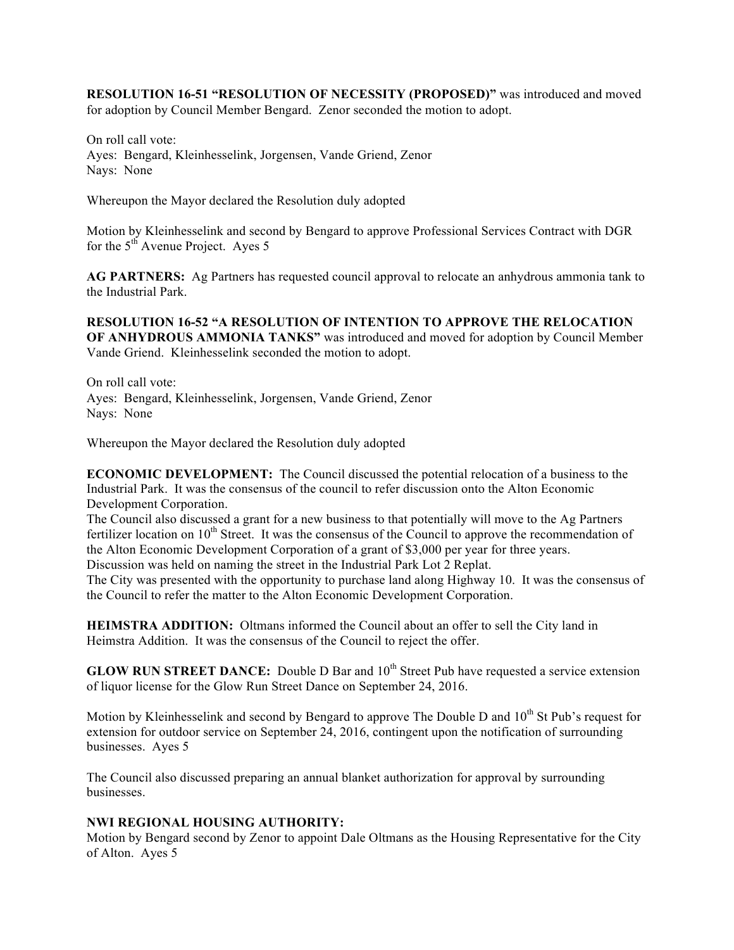**RESOLUTION 16-51 "RESOLUTION OF NECESSITY (PROPOSED)"** was introduced and moved for adoption by Council Member Bengard. Zenor seconded the motion to adopt.

On roll call vote: Ayes: Bengard, Kleinhesselink, Jorgensen, Vande Griend, Zenor Nays: None

Whereupon the Mayor declared the Resolution duly adopted

Motion by Kleinhesselink and second by Bengard to approve Professional Services Contract with DGR for the  $5<sup>th</sup>$  Avenue Project. Ayes 5

**AG PARTNERS:** Ag Partners has requested council approval to relocate an anhydrous ammonia tank to the Industrial Park.

**RESOLUTION 16-52 "A RESOLUTION OF INTENTION TO APPROVE THE RELOCATION OF ANHYDROUS AMMONIA TANKS"** was introduced and moved for adoption by Council Member Vande Griend. Kleinhesselink seconded the motion to adopt.

On roll call vote: Ayes: Bengard, Kleinhesselink, Jorgensen, Vande Griend, Zenor Nays: None

Whereupon the Mayor declared the Resolution duly adopted

**ECONOMIC DEVELOPMENT:** The Council discussed the potential relocation of a business to the Industrial Park. It was the consensus of the council to refer discussion onto the Alton Economic Development Corporation.

The Council also discussed a grant for a new business to that potentially will move to the Ag Partners fertilizer location on  $10<sup>th</sup>$  Street. It was the consensus of the Council to approve the recommendation of the Alton Economic Development Corporation of a grant of \$3,000 per year for three years. Discussion was held on naming the street in the Industrial Park Lot 2 Replat.

The City was presented with the opportunity to purchase land along Highway 10. It was the consensus of the Council to refer the matter to the Alton Economic Development Corporation.

**HEIMSTRA ADDITION:** Oltmans informed the Council about an offer to sell the City land in Heimstra Addition. It was the consensus of the Council to reject the offer.

**GLOW RUN STREET DANCE:** Double D Bar and 10<sup>th</sup> Street Pub have requested a service extension of liquor license for the Glow Run Street Dance on September 24, 2016.

Motion by Kleinhesselink and second by Bengard to approve The Double D and  $10<sup>th</sup>$  St Pub's request for extension for outdoor service on September 24, 2016, contingent upon the notification of surrounding businesses. Ayes 5

The Council also discussed preparing an annual blanket authorization for approval by surrounding businesses.

# **NWI REGIONAL HOUSING AUTHORITY:**

Motion by Bengard second by Zenor to appoint Dale Oltmans as the Housing Representative for the City of Alton. Ayes 5